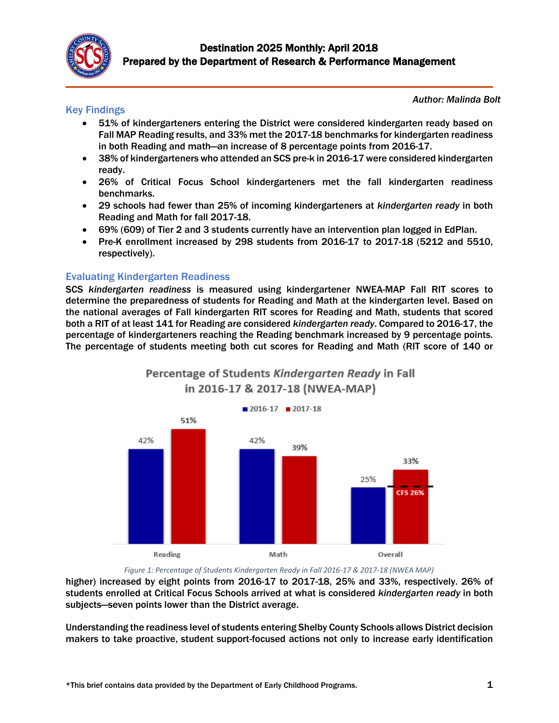

## Key Findings

*Author: Malinda Bolt*

- 51% of kindergarteners entering the District were considered kindergarten ready based on Fall MAP Reading results, and 33% met the 2017-18 benchmarks for kindergarten readiness in both Reading and math—an increase of 8 percentage points from 2016-17.
- 38% of kindergarteners who attended an SCS pre-k in 2016-17 were considered kindergarten ready.
- 26% of Critical Focus School kindergarteners met the fall kindergarten readiness benchmarks.
- 29 schools had fewer than 25% of incoming kindergarteners at *kindergarten ready* in both Reading and Math for fall 2017-18.
- 69% (609) of Tier 2 and 3 students currently have an intervention plan logged in EdPlan.
- Pre-K enrollment increased by 298 students from 2016-17 to 2017-18 (5212 and 5510, respectively).

#### Evaluating Kindergarten Readiness

SCS *kindergarten readiness* is measured using kindergartener NWEA-MAP Fall RIT scores to determine the preparedness of students for Reading and Math at the kindergarten level. Based on the national averages of Fall kindergarten RIT scores for Reading and Math, students that scored both a RIT of at least 141 for Reading are considered *kindergarten ready*. Compared to 2016-17, the percentage of kindergarteners reaching the Reading benchmark increased by 9 percentage points. The percentage of students meeting both cut scores for Reading and Math (RIT score of 140 or



Percentage of Students Kindergarten Ready in Fall in 2016-17 & 2017-18 (NWEA-MAP)

*Figure 1: Percentage of Students Kindergarten Ready in Fall 2016-17 & 2017-18 (NWEA MAP)*

higher) increased by eight points from 2016-17 to 2017-18, 25% and 33%, respectively. 26% of students enrolled at Critical Focus Schools arrived at what is considered *kindergarten ready* in both subjects—seven points lower than the District average.

Understanding the readiness level of students entering Shelby County Schools allows District decision makers to take proactive, student support-focused actions not only to increase early identification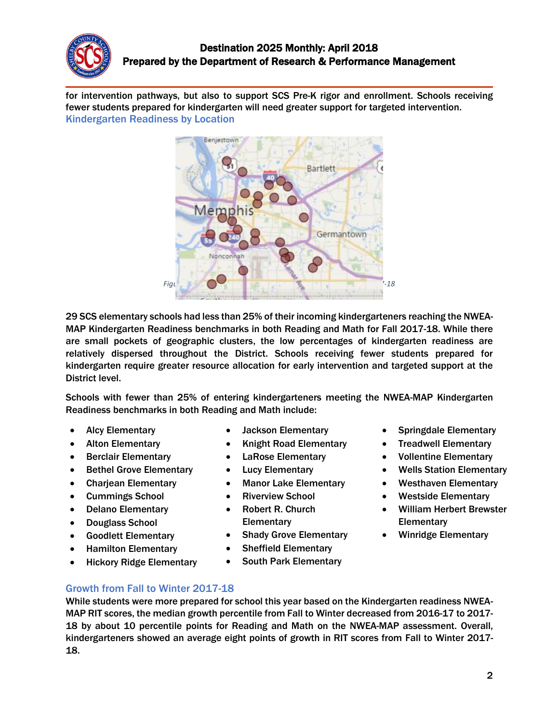

for intervention pathways, but also to support SCS Pre-K rigor and enrollment. Schools receiving fewer students prepared for kindergarten will need greater support for targeted intervention. Kindergarten Readiness by Location



29 SCS elementary schools had less than 25% of their incoming kindergarteners reaching the NWEA-MAP Kindergarten Readiness benchmarks in both Reading and Math for Fall 2017-18. While there are small pockets of geographic clusters, the low percentages of kindergarten readiness are relatively dispersed throughout the District. Schools receiving fewer students prepared for kindergarten require greater resource allocation for early intervention and targeted support at the District level.

Schools with fewer than 25% of entering kindergarteners meeting the NWEA-MAP Kindergarten Readiness benchmarks in both Reading and Math include:

- Alcy Elementary
- Alton Elementary
- Berclair Elementary
- Bethel Grove Elementary
- Charjean Elementary
- Cummings School
- Delano Elementary
- Douglass School
- Goodlett Elementary
- Hamilton Elementary
- Hickory Ridge Elementary
- Jackson Elementary
- Knight Road Elementary
- LaRose Elementary
- **Lucy Elementary**
- Manor Lake Elementary
- **Riverview School**
- Robert R. Church **Elementary**
- **Shady Grove Elementary**
- Sheffield Elementary
- South Park Elementary
- Springdale Elementary
- Treadwell Elementary
- Vollentine Elementary
- Wells Station Elementary
- Westhaven Elementary
- Westside Elementary
- William Herbert Brewster **Elementary**
- Winridge Elementary

Growth from Fall to Winter 2017-18

While students were more prepared for school this year based on the Kindergarten readiness NWEA-MAP RIT scores, the median growth percentile from Fall to Winter decreased from 2016-17 to 2017- 18 by about 10 percentile points for Reading and Math on the NWEA-MAP assessment. Overall, kindergarteners showed an average eight points of growth in RIT scores from Fall to Winter 2017- 18.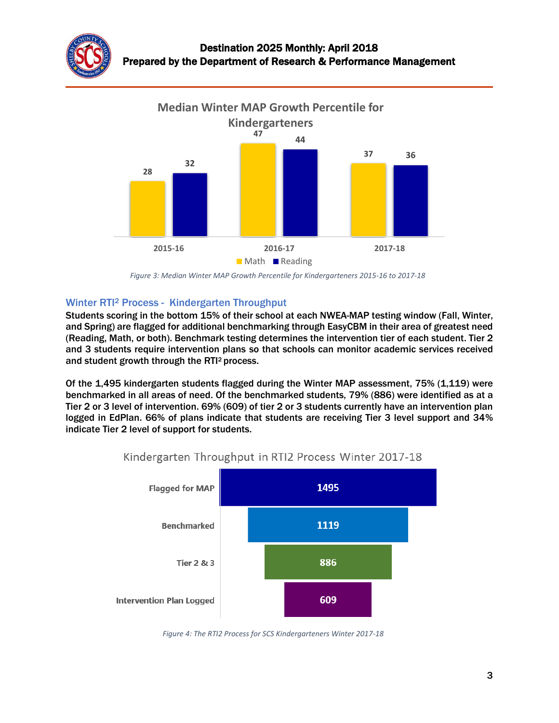



*Figure 3: Median Winter MAP Growth Percentile for Kindergarteners 2015-16 to 2017-18*

#### Winter RTI<sup>2</sup> Process - Kindergarten Throughput

Students scoring in the bottom 15% of their school at each NWEA-MAP testing window (Fall, Winter, and Spring) are flagged for additional benchmarking through EasyCBM in their area of greatest need (Reading, Math, or both). Benchmark testing determines the intervention tier of each student. Tier 2 and 3 students require intervention plans so that schools can monitor academic services received and student growth through the RTI<sup>2</sup> process.

Of the 1,495 kindergarten students flagged during the Winter MAP assessment, 75% (1,119) were benchmarked in all areas of need. Of the benchmarked students, 79% (886) were identified as at a Tier 2 or 3 level of intervention. 69% (609) of tier 2 or 3 students currently have an intervention plan logged in EdPlan. 66% of plans indicate that students are receiving Tier 3 level support and 34% indicate Tier 2 level of support for students.



# Kindergarten Throughput in RTI2 Process Winter 2017-18

*Figure 4: The RTI2 Process for SCS Kindergarteners Winter 2017-18*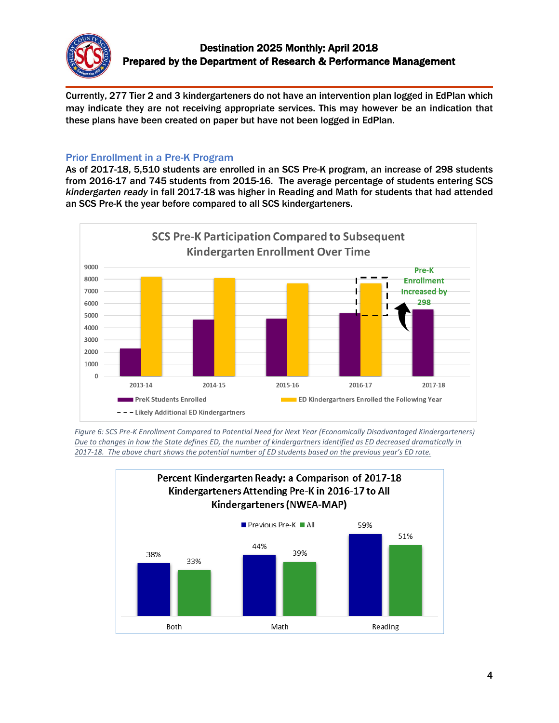

Currently, 277 Tier 2 and 3 kindergarteners do not have an intervention plan logged in EdPlan which may indicate they are not receiving appropriate services. This may however be an indication that these plans have been created on paper but have not been logged in EdPlan.

## Prior Enrollment in a Pre-K Program

As of 2017-18, 5,510 students are enrolled in an SCS Pre-K program, an increase of 298 students from 2016-17 and 745 students from 2015-16. The average percentage of students entering SCS *kindergarten ready* in fall 2017-18 was higher in Reading and Math for students that had attended an SCS Pre-K the year before compared to all SCS kindergarteners.



*Figure 6: SCS Pre-K Enrollment Compared to Potential Need for Next Year (Economically Disadvantaged Kindergarteners) Due to changes in how the State defines ED, the number of kindergartners identified as ED decreased dramatically in 2017-18. The above chart shows the potential number of ED students based on the previous year's ED rate.*